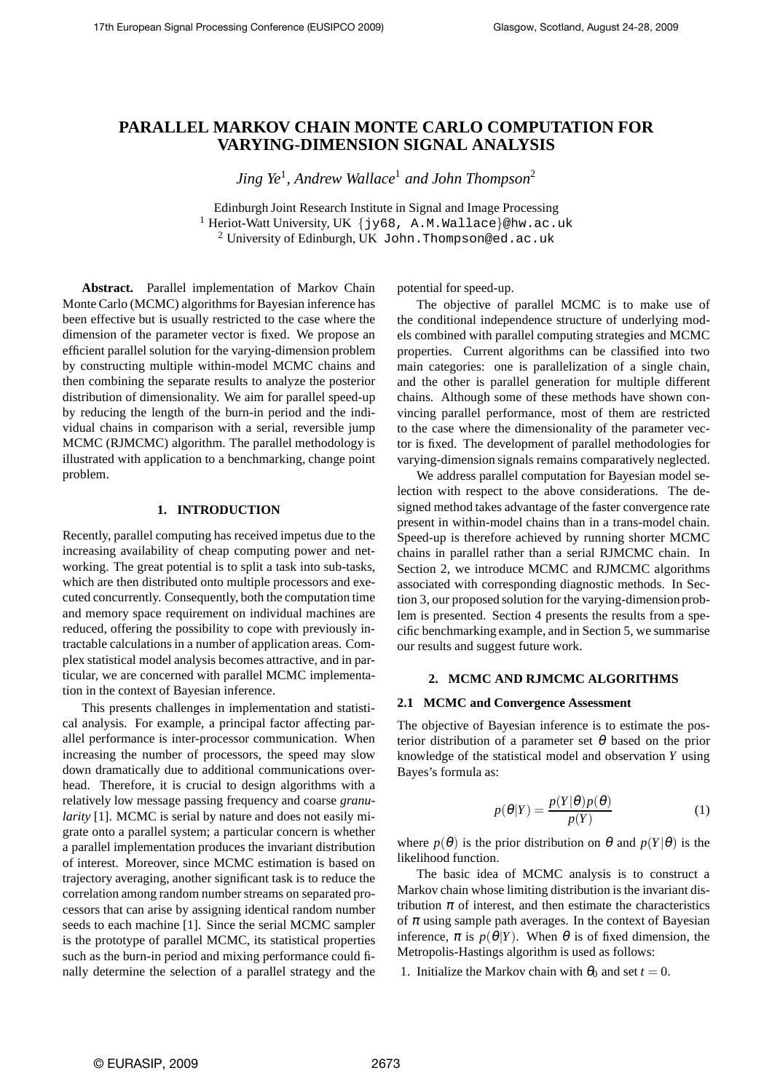# **PARALLEL MARKOV CHAIN MONTE CARLO COMPUTATION FOR VARYING-DIMENSION SIGNAL ANALYSIS**

*Jing Ye*<sup>1</sup> *, Andrew Wallace*<sup>1</sup> *and John Thompson*<sup>2</sup>

Edinburgh Joint Research Institute in Signal and Image Processing <sup>1</sup> Heriot-Watt University, UK {jy68, A.M.Wallace}@hw.ac.uk <sup>2</sup> University of Edinburgh, UK John. Thompson@ed.ac.uk

**Abstract.** Parallel implementation of Markov Chain Monte Carlo (MCMC) algorithms for Bayesian inference has been effective but is usually restricted to the case where the dimension of the parameter vector is fixed. We propose an efficient parallel solution for the varying-dimension problem by constructing multiple within-model MCMC chains and then combining the separate results to analyze the posterior distribution of dimensionality. We aim for parallel speed-up by reducing the length of the burn-in period and the individual chains in comparison with a serial, reversible jump MCMC (RJMCMC) algorithm. The parallel methodology is illustrated with application to a benchmarking, change point problem.

# **1. INTRODUCTION**

Recently, parallel computing has received impetus due to the increasing availability of cheap computing power and networking. The great potential is to split a task into sub-tasks, which are then distributed onto multiple processors and executed concurrently. Consequently, both the computation time and memory space requirement on individual machines are reduced, offering the possibility to cope with previously intractable calculations in a number of application areas. Complex statistical model analysis becomes attractive, and in particular, we are concerned with parallel MCMC implementation in the context of Bayesian inference.

This presents challenges in implementation and statistical analysis. For example, a principal factor affecting parallel performance is inter-processor communication. When increasing the number of processors, the speed may slow down dramatically due to additional communications overhead. Therefore, it is crucial to design algorithms with a relatively low message passing frequency and coarse *granularity* [1]. MCMC is serial by nature and does not easily migrate onto a parallel system; a particular concern is whether a parallel implementation produces the invariant distribution of interest. Moreover, since MCMC estimation is based on trajectory averaging, another significant task is to reduce the correlation among random number streams on separated processors that can arise by assigning identical random number seeds to each machine [1]. Since the serial MCMC sampler is the prototype of parallel MCMC, its statistical properties such as the burn-in period and mixing performance could finally determine the selection of a parallel strategy and the

potential for speed-up.

The objective of parallel MCMC is to make use of the conditional independence structure of underlying models combined with parallel computing strategies and MCMC properties. Current algorithms can be classified into two main categories: one is parallelization of a single chain, and the other is parallel generation for multiple different chains. Although some of these methods have shown convincing parallel performance, most of them are restricted to the case where the dimensionality of the parameter vector is fixed. The development of parallel methodologies for varying-dimension signals remains comparatively neglected.

We address parallel computation for Bayesian model selection with respect to the above considerations. The designed method takes advantage of the faster convergence rate present in within-model chains than in a trans-model chain. Speed-up is therefore achieved by running shorter MCMC chains in parallel rather than a serial RJMCMC chain. In Section 2, we introduce MCMC and RJMCMC algorithms associated with corresponding diagnostic methods. In Section 3, our proposed solution for the varying-dimension problem is presented. Section 4 presents the results from a specific benchmarking example, and in Section 5, we summarise our results and suggest future work.

#### **2. MCMC AND RJMCMC ALGORITHMS**

#### **2.1 MCMC and Convergence Assessment**

The objective of Bayesian inference is to estimate the posterior distribution of a parameter set  $\theta$  based on the prior knowledge of the statistical model and observation *Y* using Bayes's formula as:

$$
p(\theta|Y) = \frac{p(Y|\theta)p(\theta)}{p(Y)}
$$
 (1)

where  $p(\theta)$  is the prior distribution on  $\theta$  and  $p(Y|\theta)$  is the likelihood function.

The basic idea of MCMC analysis is to construct a Markov chain whose limiting distribution is the invariant distribution  $\pi$  of interest, and then estimate the characteristics of  $\pi$  using sample path averages. In the context of Bayesian inference,  $\pi$  is  $p(\theta|Y)$ . When  $\theta$  is of fixed dimension, the Metropolis-Hastings algorithm is used as follows:

1. Initialize the Markov chain with  $\theta_0$  and set  $t = 0$ .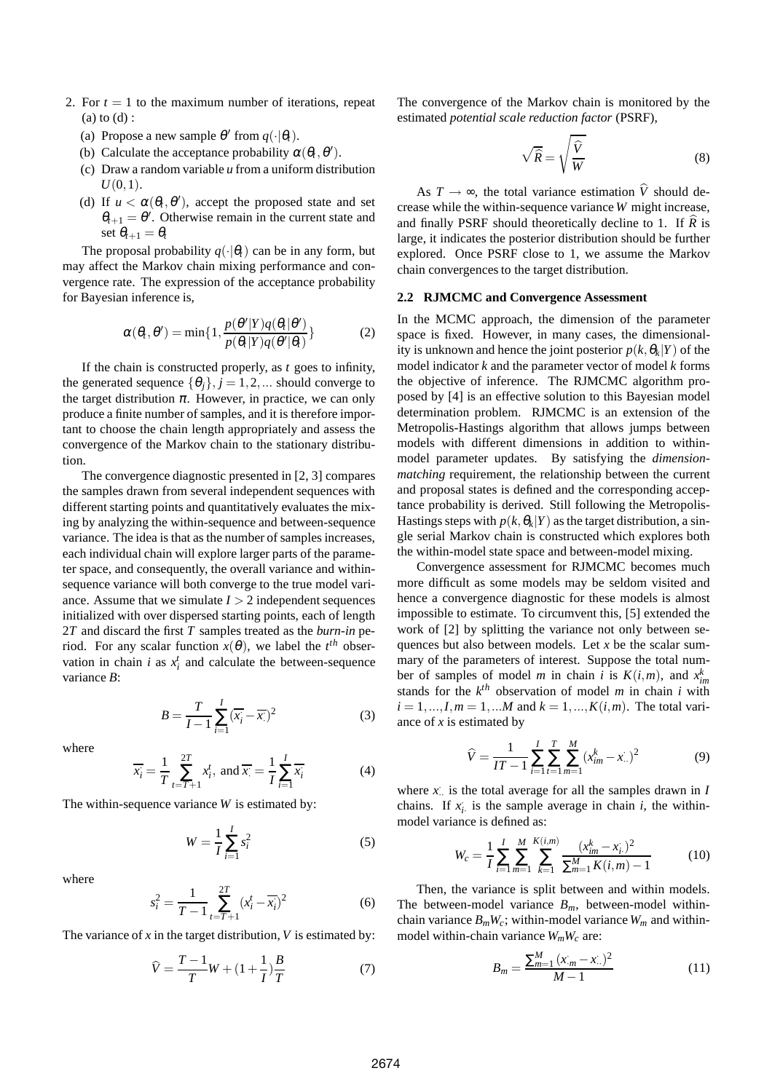- 2. For  $t = 1$  to the maximum number of iterations, repeat (a) to (d) :
	- (a) Propose a new sample  $\theta'$  from  $q(\cdot|\theta_t)$ .
	- (b) Calculate the acceptance probability  $\alpha(\theta_t, \theta')$ .
	- (c) Draw a random variable *u* from a uniform distribution  $U(0,1)$ .
	- (d) If  $u < \alpha(\theta_t, \theta')$ , accept the proposed state and set  $\theta_{t+1} = \theta'$ . Otherwise remain in the current state and set  $\theta_{t+1} = \theta_t$

The proposal probability  $q(\cdot|\theta_t)$  can be in any form, but may affect the Markov chain mixing performance and convergence rate. The expression of the acceptance probability for Bayesian inference is,

$$
\alpha(\theta_t, \theta') = \min\{1, \frac{p(\theta'|Y)q(\theta_t|\theta')}{p(\theta_t|Y)q(\theta'|\theta_t)}\}\tag{2}
$$

If the chain is constructed properly, as *t* goes to infinity, the generated sequence  $\{\theta_i\}, i = 1, 2, \dots$  should converge to the target distribution  $\pi$ . However, in practice, we can only produce a finite number of samples, and it is therefore important to choose the chain length appropriately and assess the convergence of the Markov chain to the stationary distribution.

The convergence diagnostic presented in [2, 3] compares the samples drawn from several independent sequences with different starting points and quantitatively evaluates the mixing by analyzing the within-sequence and between-sequence variance. The idea is that as the number of samples increases, each individual chain will explore larger parts of the parameter space, and consequently, the overall variance and withinsequence variance will both converge to the true model variance. Assume that we simulate  $I > 2$  independent sequences initialized with over dispersed starting points, each of length 2*T* and discard the first *T* samples treated as the *burn-in* period. For any scalar function  $x(\theta)$ , we label the  $t^{th}$  observation in chain *i* as  $x_i^t$  and calculate the between-sequence variance *B*:

$$
B = \frac{T}{I - 1} \sum_{i=1}^{I} (\overline{x_i} - \overline{x_i})^2
$$
 (3)

where

$$
\overline{x_i} = \frac{1}{T} \sum_{t=T+1}^{2T} x_i^t, \text{ and } \overline{x_i} = \frac{1}{T} \sum_{i=1}^{T} \overline{x_i}
$$
(4)

The within-sequence variance *W* is estimated by:

$$
W = \frac{1}{I} \sum_{i=1}^{I} s_i^2
$$
 (5)

where

$$
s_i^2 = \frac{1}{T - 1} \sum_{t = T + 1}^{2T} (x_i^t - \overline{x_i})^2
$$
 (6)

The variance of  $x$  in the target distribution,  $V$  is estimated by:

$$
\widehat{V} = \frac{T - 1}{T}W + (1 + \frac{1}{I})\frac{B}{T}
$$
 (7)

The convergence of the Markov chain is monitored by the estimated *potential scale reduction factor* (PSRF),

$$
\sqrt{\widehat{R}} = \sqrt{\frac{\widehat{V}}{W}}
$$
 (8)

As  $T \rightarrow \infty$ , the total variance estimation  $\hat{V}$  should decrease while the within-sequence variance *W* might increase, and finally PSRF should theoretically decline to 1. If  $\hat{R}$  is large, it indicates the posterior distribution should be further explored. Once PSRF close to 1, we assume the Markov chain convergences to the target distribution.

## **2.2 RJMCMC and Convergence Assessment**

In the MCMC approach, the dimension of the parameter space is fixed. However, in many cases, the dimensionality is unknown and hence the joint posterior  $p(k, \theta_k|Y)$  of the model indicator *k* and the parameter vector of model *k* forms the objective of inference. The RJMCMC algorithm proposed by [4] is an effective solution to this Bayesian model determination problem. RJMCMC is an extension of the Metropolis-Hastings algorithm that allows jumps between models with different dimensions in addition to withinmodel parameter updates. By satisfying the *dimensionmatching* requirement, the relationship between the current and proposal states is defined and the corresponding acceptance probability is derived. Still following the Metropolis-Hastings steps with  $p(k, \theta_k|Y)$  as the target distribution, a single serial Markov chain is constructed which explores both the within-model state space and between-model mixing.

Convergence assessment for RJMCMC becomes much more difficult as some models may be seldom visited and hence a convergence diagnostic for these models is almost impossible to estimate. To circumvent this, [5] extended the work of [2] by splitting the variance not only between sequences but also between models. Let *x* be the scalar summary of the parameters of interest. Suppose the total number of samples of model *m* in chain *i* is  $K(i,m)$ , and  $x_{im}^k$ stands for the  $k^{th}$  observation of model *m* in chain *i* with  $i = 1, ..., I, m = 1, ...M$  and  $k = 1, ..., K(i, m)$ . The total variance of *x* is estimated by

$$
\widehat{V} = \frac{1}{IT - 1} \sum_{i=1}^{I} \sum_{t=1}^{T} \sum_{m=1}^{M} (x_{im}^{k} - x_{..})^2
$$
(9)

where  $x_i$  is the total average for all the samples drawn in  $I$ chains. If  $x_i$  is the sample average in chain *i*, the withinmodel variance is defined as:

$$
W_c = \frac{1}{I} \sum_{i=1}^{I} \sum_{m=1}^{M} \sum_{k=1}^{K(i,m)} \frac{(x_{im}^k - x_i)^2}{\sum_{m=1}^{M} K(i,m) - 1}
$$
(10)

Then, the variance is split between and within models. The between-model variance  $B_m$ , between-model withinchain variance  $B_mW_c$ ; within-model variance  $W_m$  and withinmodel within-chain variance *WmW<sup>c</sup>* are:

$$
B_m = \frac{\sum_{m=1}^{M} (x_m - x_*)^2}{M - 1}
$$
 (11)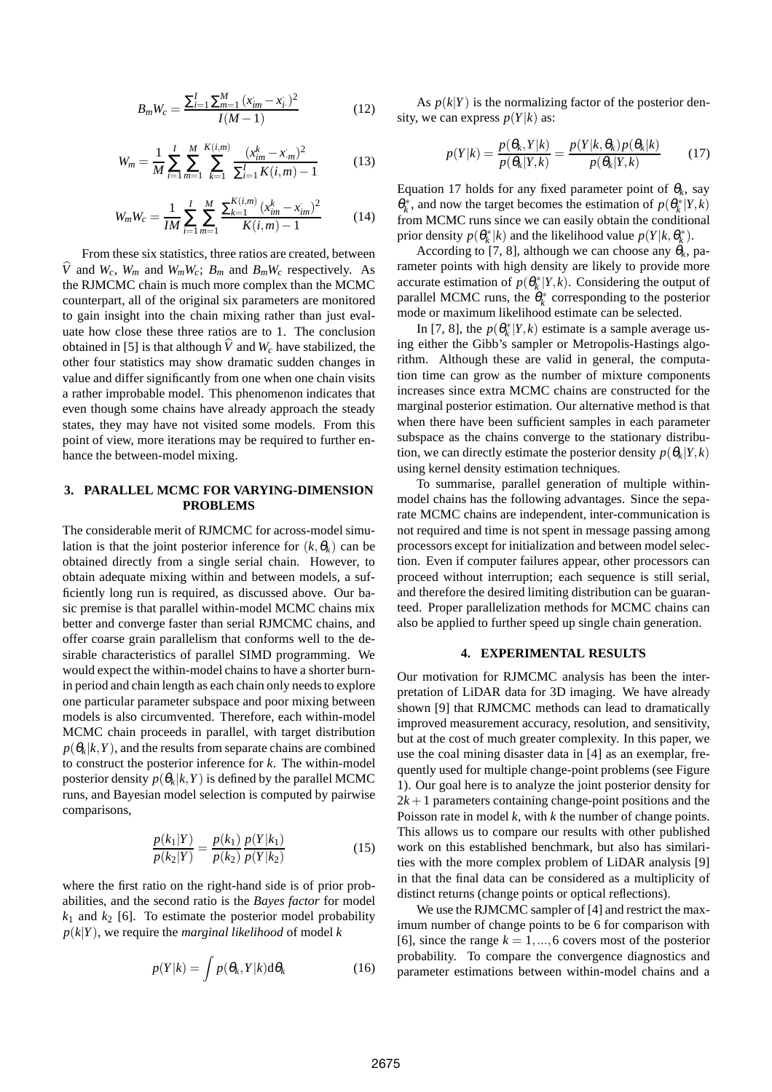$$
B_m W_c = \frac{\sum_{i=1}^{I} \sum_{m=1}^{M} (x_{im} - x_i)^2}{I(M-1)}
$$
(12)

$$
W_m = \frac{1}{M} \sum_{i=1}^{I} \sum_{m=1}^{M} \sum_{k=1}^{K(i,m)} \frac{(x_{im}^k - x_m)^2}{\sum_{i=1}^{I} K(i,m) - 1}
$$
(13)

$$
W_m W_c = \frac{1}{IM} \sum_{i=1}^{I} \sum_{m=1}^{M} \frac{\sum_{k=1}^{K(i,m)} (x_{im}^k - x_{im})^2}{K(i,m) - 1}
$$
(14)

From these six statistics, three ratios are created, between  $\hat{V}$  and  $W_c$ ,  $W_m$  and  $W_mW_c$ ;  $B_m$  and  $B_mW_c$  respectively. As the RJMCMC chain is much more complex than the MCMC counterpart, all of the original six parameters are monitored to gain insight into the chain mixing rather than just evaluate how close these three ratios are to 1. The conclusion obtained in [5] is that although  $\hat{V}$  and  $W_c$  have stabilized, the other four statistics may show dramatic sudden changes in value and differ significantly from one when one chain visits a rather improbable model. This phenomenon indicates that even though some chains have already approach the steady states, they may have not visited some models. From this point of view, more iterations may be required to further enhance the between-model mixing.

# **3. PARALLEL MCMC FOR VARYING-DIMENSION PROBLEMS**

The considerable merit of RJMCMC for across-model simulation is that the joint posterior inference for  $(k, \theta_k)$  can be obtained directly from a single serial chain. However, to obtain adequate mixing within and between models, a sufficiently long run is required, as discussed above. Our basic premise is that parallel within-model MCMC chains mix better and converge faster than serial RJMCMC chains, and offer coarse grain parallelism that conforms well to the desirable characteristics of parallel SIMD programming. We would expect the within-model chains to have a shorter burnin period and chain length as each chain only needs to explore one particular parameter subspace and poor mixing between models is also circumvented. Therefore, each within-model MCMC chain proceeds in parallel, with target distribution  $p(\theta_k|k,Y)$ , and the results from separate chains are combined to construct the posterior inference for *k*. The within-model posterior density  $p(\theta_k|k,Y)$  is defined by the parallel MCMC runs, and Bayesian model selection is computed by pairwise comparisons,

$$
\frac{p(k_1|Y)}{p(k_2|Y)} = \frac{p(k_1)}{p(k_2)} \frac{p(Y|k_1)}{p(Y|k_2)}\tag{15}
$$

where the first ratio on the right-hand side is of prior probabilities, and the second ratio is the *Bayes factor* for model  $k_1$  and  $k_2$  [6]. To estimate the posterior model probability  $p(k|Y)$ , we require the *marginal likelihood* of model *k* 

$$
p(Y|k) = \int p(\theta_k, Y|k) \mathrm{d}\theta_k \tag{16}
$$

As  $p(k|Y)$  is the normalizing factor of the posterior density, we can express  $p(Y|k)$  as:

$$
p(Y|k) = \frac{p(\theta_k, Y|k)}{p(\theta_k|Y,k)} = \frac{p(Y|k, \theta_k)p(\theta_k|k)}{p(\theta_k|Y,k)}\tag{17}
$$

Equation 17 holds for any fixed parameter point of  $\theta_k$ , say  $\theta_k^*$ , and now the target becomes the estimation of  $p(\theta_k^* | Y, k)$ from MCMC runs since we can easily obtain the conditional prior density  $p(\theta_k^*|k)$  and the likelihood value  $p(Y|k, \theta_k^*)$ .

According to [7, 8], although we can choose any  $\theta_k$ , parameter points with high density are likely to provide more accurate estimation of  $p(\theta_k^* | Y, k)$ . Considering the output of parallel MCMC runs, the  $\hat{\theta}_k^*$  corresponding to the posterior mode or maximum likelihood estimate can be selected.

In [7, 8], the  $p(\theta_k^* | Y, k)$  estimate is a sample average using either the Gibb's sampler or Metropolis-Hastings algorithm. Although these are valid in general, the computation time can grow as the number of mixture components increases since extra MCMC chains are constructed for the marginal posterior estimation. Our alternative method is that when there have been sufficient samples in each parameter subspace as the chains converge to the stationary distribution, we can directly estimate the posterior density  $p(\theta_k|Y,k)$ using kernel density estimation techniques.

To summarise, parallel generation of multiple withinmodel chains has the following advantages. Since the separate MCMC chains are independent, inter-communication is not required and time is not spent in message passing among processors except for initialization and between model selection. Even if computer failures appear, other processors can proceed without interruption; each sequence is still serial, and therefore the desired limiting distribution can be guaranteed. Proper parallelization methods for MCMC chains can also be applied to further speed up single chain generation.

## **4. EXPERIMENTAL RESULTS**

Our motivation for RJMCMC analysis has been the interpretation of LiDAR data for 3D imaging. We have already shown [9] that RJMCMC methods can lead to dramatically improved measurement accuracy, resolution, and sensitivity, but at the cost of much greater complexity. In this paper, we use the coal mining disaster data in [4] as an exemplar, frequently used for multiple change-point problems (see Figure 1). Our goal here is to analyze the joint posterior density for  $2k + 1$  parameters containing change-point positions and the Poisson rate in model *k*, with *k* the number of change points. This allows us to compare our results with other published work on this established benchmark, but also has similarities with the more complex problem of LiDAR analysis [9] in that the final data can be considered as a multiplicity of distinct returns (change points or optical reflections).

We use the RJMCMC sampler of [4] and restrict the maximum number of change points to be 6 for comparison with [6], since the range  $k = 1, \ldots, 6$  covers most of the posterior probability. To compare the convergence diagnostics and parameter estimations between within-model chains and a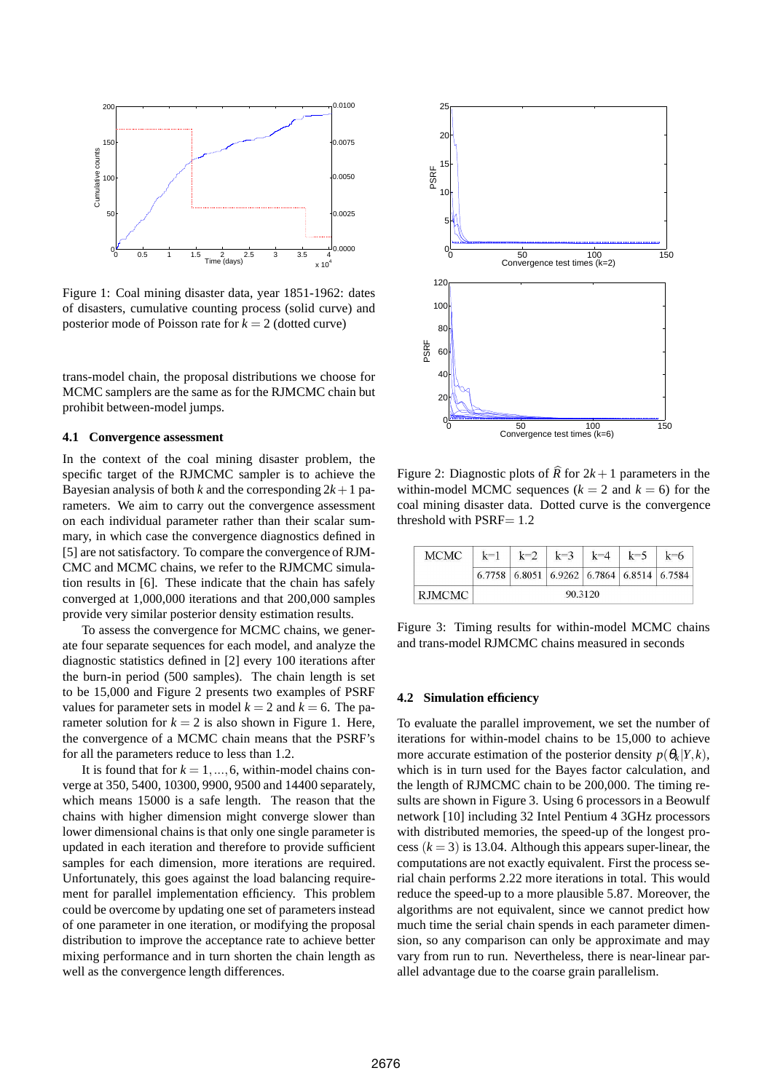

Figure 1: Coal mining disaster data, year 1851-1962: dates of disasters, cumulative counting process (solid curve) and posterior mode of Poisson rate for  $k = 2$  (dotted curve)

trans-model chain, the proposal distributions we choose for MCMC samplers are the same as for the RJMCMC chain but prohibit between-model jumps.

## **4.1 Convergence assessment**

In the context of the coal mining disaster problem, the specific target of the RJMCMC sampler is to achieve the Bayesian analysis of both *k* and the corresponding  $2k+1$  parameters. We aim to carry out the convergence assessment on each individual parameter rather than their scalar summary, in which case the convergence diagnostics defined in [5] are not satisfactory. To compare the convergence of RJM-CMC and MCMC chains, we refer to the RJMCMC simulation results in [6]. These indicate that the chain has safely converged at 1,000,000 iterations and that 200,000 samples provide very similar posterior density estimation results.

To assess the convergence for MCMC chains, we generate four separate sequences for each model, and analyze the diagnostic statistics defined in [2] every 100 iterations after the burn-in period (500 samples). The chain length is set to be 15,000 and Figure 2 presents two examples of PSRF values for parameter sets in model  $k = 2$  and  $k = 6$ . The parameter solution for  $k = 2$  is also shown in Figure 1. Here, the convergence of a MCMC chain means that the PSRF's for all the parameters reduce to less than 1.2.

It is found that for  $k = 1, \ldots, 6$ , within-model chains converge at 350, 5400, 10300, 9900, 9500 and 14400 separately, which means 15000 is a safe length. The reason that the chains with higher dimension might converge slower than lower dimensional chains is that only one single parameter is updated in each iteration and therefore to provide sufficient samples for each dimension, more iterations are required. Unfortunately, this goes against the load balancing requirement for parallel implementation efficiency. This problem could be overcome by updating one set of parameters instead of one parameter in one iteration, or modifying the proposal distribution to improve the acceptance rate to achieve better mixing performance and in turn shorten the chain length as well as the convergence length differences.



Figure 2: Diagnostic plots of  $\widehat{R}$  for  $2k + 1$  parameters in the within-model MCMC sequences  $(k = 2 \text{ and } k = 6)$  for the coal mining disaster data. Dotted curve is the convergence threshold with PSRF= 1.2

| <b>MCMC</b> | $k=1$   | $k=2$ | $k=3$ | $k=4$ | $k=5$                                       | k=6 |
|-------------|---------|-------|-------|-------|---------------------------------------------|-----|
|             |         |       |       |       | $6.7758$ 6.8051 6.9262 6.7864 6.8514 6.7584 |     |
| RJMCMC      | 90.3120 |       |       |       |                                             |     |

Figure 3: Timing results for within-model MCMC chains and trans-model RJMCMC chains measured in seconds

#### **4.2 Simulation efficiency**

To evaluate the parallel improvement, we set the number of iterations for within-model chains to be 15,000 to achieve more accurate estimation of the posterior density  $p(\theta_k|Y,k)$ , which is in turn used for the Bayes factor calculation, and the length of RJMCMC chain to be 200,000. The timing results are shown in Figure 3. Using 6 processors in a Beowulf network [10] including 32 Intel Pentium 4 3GHz processors with distributed memories, the speed-up of the longest process  $(k = 3)$  is 13.04. Although this appears super-linear, the computations are not exactly equivalent. First the process serial chain performs 2.22 more iterations in total. This would reduce the speed-up to a more plausible 5.87. Moreover, the algorithms are not equivalent, since we cannot predict how much time the serial chain spends in each parameter dimension, so any comparison can only be approximate and may vary from run to run. Nevertheless, there is near-linear parallel advantage due to the coarse grain parallelism.